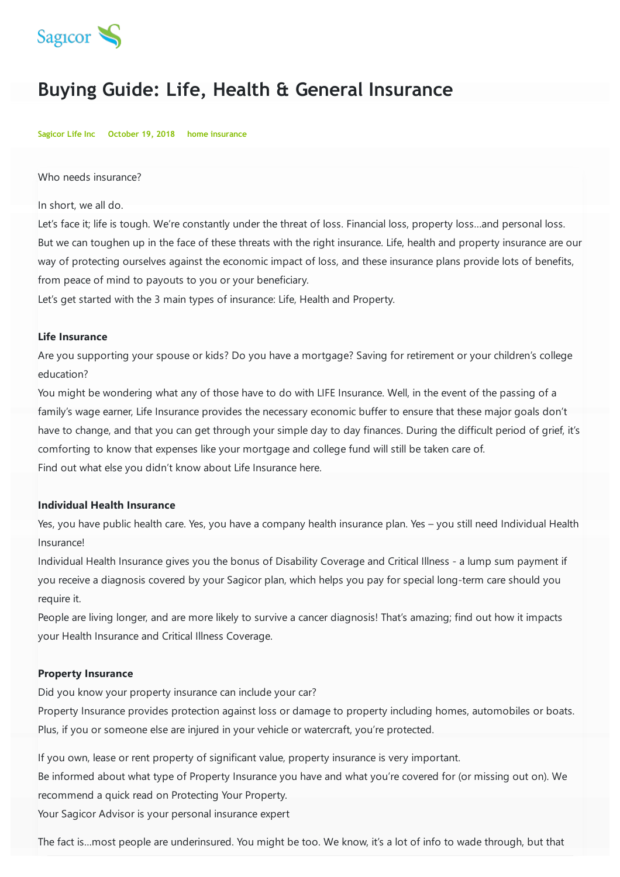

## **Buying Guide: Life, Health & General Insurance**

**Sagicor Life Inc October 19, 2018 home insurance**

Who needs insurance?

In short, we all do.

Let's face it; life is tough. We're constantly under the threat of loss. Financial loss, property loss...and personal loss. But we can toughen up in the face of these threats with the right insurance. Life, health and property insurance are our way of protecting ourselves against the economic impact of loss, and these insurance plans provide lots of benefits, from peace of mind to payouts to you or your beneficiary.

Let's get started with the 3 main types of insurance: Life, Health and Property.

## **Life Insurance**

Are you supporting your spouse or kids? Do you have a mortgage? Saving for retirement or your children's college education?

You might be wondering what any of those have to do with LIFE Insurance. Well, in the event of the passing of a family's wage earner, Life Insurance provides the necessary economic buffer to ensure that these major goals don't have to change, and that you can get through your simple day to day finances. During the difficult period of grief, it's comforting to know that expenses like your mortgage and college fund will still be taken care of. Find out what else you didn't know about Life Insurance here.

## **Individual Health Insurance**

Yes, you have public health care. Yes, you have a company health insurance plan. Yes – you still need Individual Health Insurance!

Individual Health Insurance gives you the bonus of Disability Coverage and Critical Illness - a lump sum payment if you receive a diagnosis covered by your Sagicor plan, which helps you pay for special long-term care should you require it.

People are living longer, and are more likely to survive a cancer diagnosis! That's amazing; find out how it impacts your Health Insurance and Critical Illness Coverage.

## **Property Insurance**

Did you know your property insurance can include your car?

Property Insurance provides protection against loss or damage to property including homes, automobiles or boats. Plus, if you or someone else are injured in your vehicle or watercraft, you're protected.

If you own, lease or rent property of significant value, property insurance is very important.

Be informed about what type of Property Insurance you have and what you're covered for (or missing out on). We recommend a quick read on Protecting Your Property.

Your Sagicor Advisor is your personal insurance expert

The fact is…most people are underinsured. You might be too. We know, it's a lot of info to wade through, but that